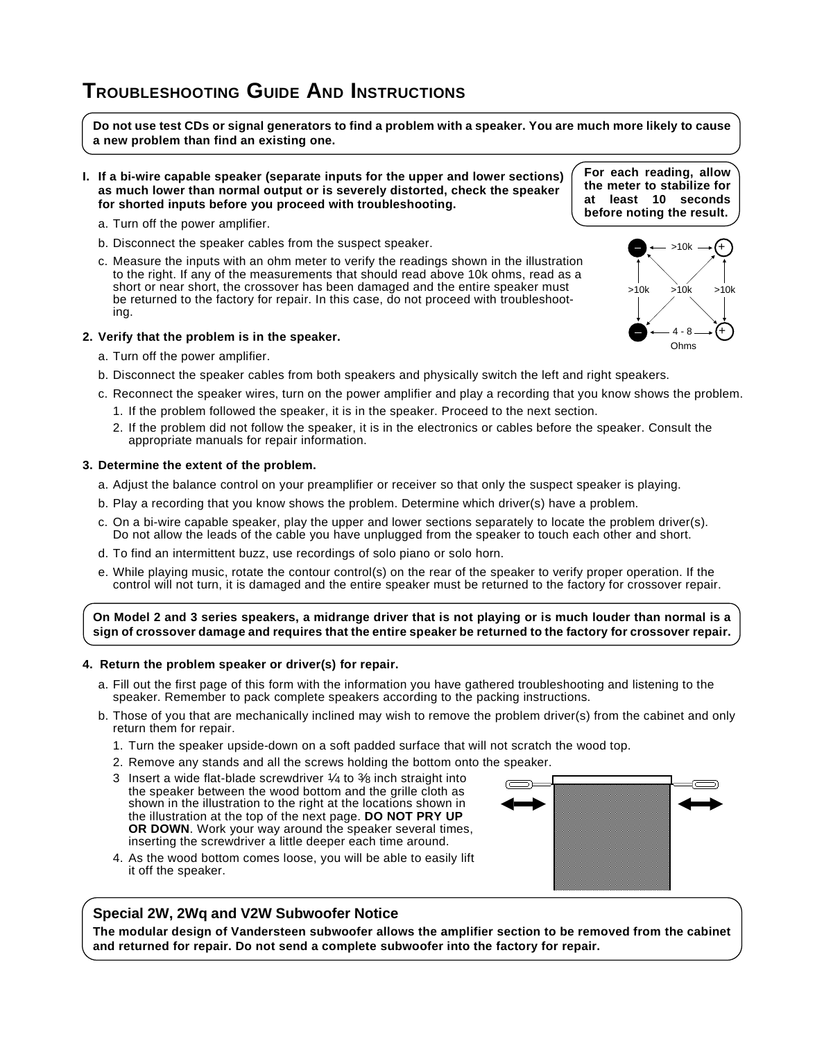# **TROUBLESHOOTING GUIDE AND INSTRUCTIONS**

**Do not use test CDs or signal generators to find a problem with a speaker. You are much more likely to cause a new problem than find an existing one.**

- **I. If a bi-wire capable speaker (separate inputs for the upper and lower sections) as much lower than normal output or is severely distorted, check the speaker for shorted inputs before you proceed with troubleshooting.**
	- a. Turn off the power amplifier.
	- b. Disconnect the speaker cables from the suspect speaker.
	- c. Measure the inputs with an ohm meter to verify the readings shown in the illustration to the right. If any of the measurements that should read above 10k ohms, read as a short or near short, the crossover has been damaged and the entire speaker must be returned to the factory for repair. In this case, do not proceed with troubleshooting.

### **2. Verify that the problem is in the speaker.**

- a. Turn off the power amplifier.
- b. Disconnect the speaker cables from both speakers and physically switch the left and right speakers.
- c. Reconnect the speaker wires, turn on the power amplifier and play a recording that you know shows the problem.
	- 1. If the problem followed the speaker, it is in the speaker. Proceed to the next section.
	- 2. If the problem did not follow the speaker, it is in the electronics or cables before the speaker. Consult the appropriate manuals for repair information.

#### **3. Determine the extent of the problem.**

- a. Adjust the balance control on your preamplifier or receiver so that only the suspect speaker is playing.
- b. Play a recording that you know shows the problem. Determine which driver(s) have a problem.
- c. On a bi-wire capable speaker, play the upper and lower sections separately to locate the problem driver(s). Do not allow the leads of the cable you have unplugged from the speaker to touch each other and short.
- d. To find an intermittent buzz, use recordings of solo piano or solo horn.
- e. While playing music, rotate the contour control(s) on the rear of the speaker to verify proper operation. If the control will not turn, it is damaged and the entire speaker must be returned to the factory for crossover repair.

**On Model 2 and 3 series speakers, a midrange driver that is not playing or is much louder than normal is a sign of crossover damage and requires that the entire speaker be returned to the factory for crossover repair.**

#### **4. Return the problem speaker or driver(s) for repair.**

- a. Fill out the first page of this form with the information you have gathered troubleshooting and listening to the speaker. Remember to pack complete speakers according to the packing instructions.
- b. Those of you that are mechanically inclined may wish to remove the problem driver(s) from the cabinet and only return them for repair.
	- 1. Turn the speaker upside-down on a soft padded surface that will not scratch the wood top.
	- 2. Remove any stands and all the screws holding the bottom onto the speaker.
	- 3 Insert a wide flat-blade screwdriver 1⁄4 to 3⁄8 inch straight into the speaker between the wood bottom and the grille cloth as shown in the illustration to the right at the locations shown in the illustration at the top of the next page. **DO NOT PRY UP OR DOWN**. Work your way around the speaker several times, inserting the screwdriver a little deeper each time around.
	- 4. As the wood bottom comes loose, you will be able to easily lift it off the speaker.

## **Special 2W, 2Wq and V2W Subwoofer Notice**

**The modular design of Vandersteen subwoofer allows the amplifier section to be removed from the cabinet and returned for repair. Do not send a complete subwoofer into the factory for repair.**





**For each reading, allow the meter to stabilize for at least 10 seconds before noting the result.**